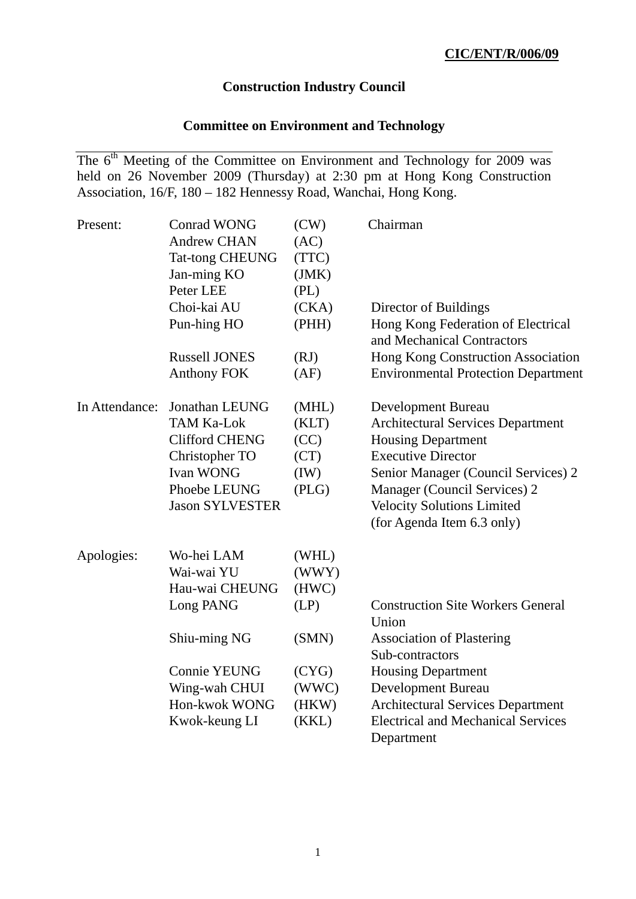# **Construction Industry Council**

# **Committee on Environment and Technology**

The 6<sup>th</sup> Meeting of the Committee on Environment and Technology for 2009 was held on 26 November 2009 (Thursday) at 2:30 pm at Hong Kong Construction Association, 16/F, 180 – 182 Hennessy Road, Wanchai, Hong Kong.

| Present:       | <b>Conrad WONG</b>     | (CW)  | Chairman                                                         |
|----------------|------------------------|-------|------------------------------------------------------------------|
|                | <b>Andrew CHAN</b>     | (AC)  |                                                                  |
|                | <b>Tat-tong CHEUNG</b> | (TTC) |                                                                  |
|                | Jan-ming KO            | (JMK) |                                                                  |
|                | Peter LEE              | (PL)  |                                                                  |
|                | Choi-kai AU            | (CKA) | Director of Buildings                                            |
|                | Pun-hing HO            | (PHH) | Hong Kong Federation of Electrical<br>and Mechanical Contractors |
|                | <b>Russell JONES</b>   | (RJ)  | Hong Kong Construction Association                               |
|                | <b>Anthony FOK</b>     | (AF)  | <b>Environmental Protection Department</b>                       |
| In Attendance: | Jonathan LEUNG         | (MHL) | Development Bureau                                               |
|                | <b>TAM Ka-Lok</b>      | (KLT) | <b>Architectural Services Department</b>                         |
|                | <b>Clifford CHENG</b>  | (CC)  | <b>Housing Department</b>                                        |
|                | Christopher TO         | (CT)  | <b>Executive Director</b>                                        |
|                | <b>Ivan WONG</b>       | (IW)  | Senior Manager (Council Services) 2                              |
|                | Phoebe LEUNG           | (PLG) | Manager (Council Services) 2                                     |
|                | <b>Jason SYLVESTER</b> |       | <b>Velocity Solutions Limited</b>                                |
|                |                        |       | (for Agenda Item 6.3 only)                                       |
| Apologies:     | Wo-hei LAM             | (WHL) |                                                                  |
|                | Wai-wai YU             | (WWY) |                                                                  |
|                | Hau-wai CHEUNG         | (HWC) |                                                                  |
|                | Long PANG              | (LP)  | <b>Construction Site Workers General</b><br>Union                |
|                | Shiu-ming NG           | (SMN) | <b>Association of Plastering</b>                                 |
|                |                        |       | Sub-contractors                                                  |
|                | <b>Connie YEUNG</b>    | (CYG) | <b>Housing Department</b>                                        |
|                | Wing-wah CHUI          | (WWC) | <b>Development Bureau</b>                                        |
|                | Hon-kwok WONG          | (HKW) | <b>Architectural Services Department</b>                         |
|                | Kwok-keung LI          | (KKL) | <b>Electrical and Mechanical Services</b>                        |
|                |                        |       | Department                                                       |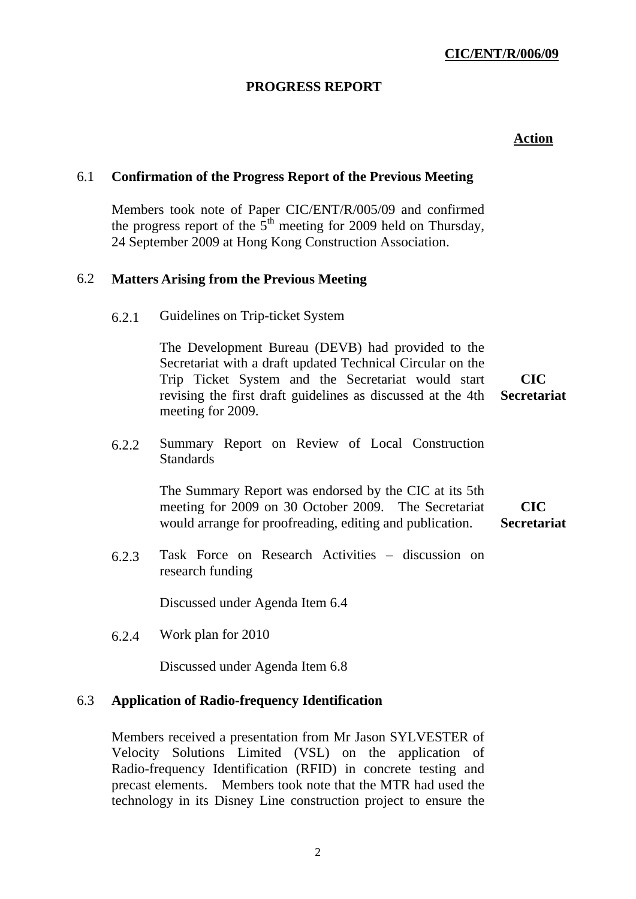# **PROGRESS REPORT**

### **Action**

## 6.1 **Confirmation of the Progress Report of the Previous Meeting**

Members took note of Paper CIC/ENT/R/005/09 and confirmed the progress report of the  $5<sup>th</sup>$  meeting for 2009 held on Thursday, 24 September 2009 at Hong Kong Construction Association.

#### 6.2 **Matters Arising from the Previous Meeting**

6.2.1 Guidelines on Trip-ticket System

The Development Bureau (DEVB) had provided to the Secretariat with a draft updated Technical Circular on the Trip Ticket System and the Secretariat would start revising the first draft guidelines as discussed at the 4th meeting for 2009. **CIC Secretariat** 

6.2.2 Summary Report on Review of Local Construction **Standards** 

> The Summary Report was endorsed by the CIC at its 5th meeting for 2009 on 30 October 2009. The Secretariat would arrange for proofreading, editing and publication. **CIC Secretariat**

6.2.3 Task Force on Research Activities – discussion on research funding

Discussed under Agenda Item 6.4

6.2.4 Work plan for 2010

Discussed under Agenda Item 6.8

#### 6.3 **Application of Radio-frequency Identification**

Members received a presentation from Mr Jason SYLVESTER of Velocity Solutions Limited (VSL) on the application of Radio-frequency Identification (RFID) in concrete testing and precast elements. Members took note that the MTR had used the technology in its Disney Line construction project to ensure the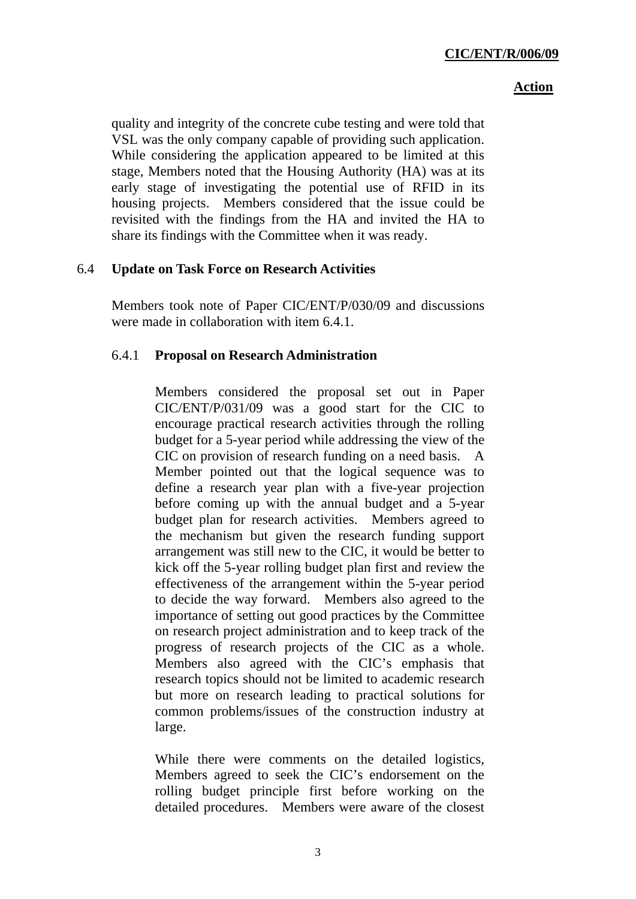### **Action**

quality and integrity of the concrete cube testing and were told that VSL was the only company capable of providing such application. While considering the application appeared to be limited at this stage, Members noted that the Housing Authority (HA) was at its early stage of investigating the potential use of RFID in its housing projects. Members considered that the issue could be revisited with the findings from the HA and invited the HA to share its findings with the Committee when it was ready.

## 6.4 **Update on Task Force on Research Activities**

Members took note of Paper CIC/ENT/P/030/09 and discussions were made in collaboration with item 6.4.1.

# 6.4.1 **Proposal on Research Administration**

Members considered the proposal set out in Paper CIC/ENT/P/031/09 was a good start for the CIC to encourage practical research activities through the rolling budget for a 5-year period while addressing the view of the CIC on provision of research funding on a need basis. A Member pointed out that the logical sequence was to define a research year plan with a five-year projection before coming up with the annual budget and a 5-year budget plan for research activities. Members agreed to the mechanism but given the research funding support arrangement was still new to the CIC, it would be better to kick off the 5-year rolling budget plan first and review the effectiveness of the arrangement within the 5-year period to decide the way forward. Members also agreed to the importance of setting out good practices by the Committee on research project administration and to keep track of the progress of research projects of the CIC as a whole. Members also agreed with the CIC's emphasis that research topics should not be limited to academic research but more on research leading to practical solutions for common problems/issues of the construction industry at large.

While there were comments on the detailed logistics, Members agreed to seek the CIC's endorsement on the rolling budget principle first before working on the detailed procedures. Members were aware of the closest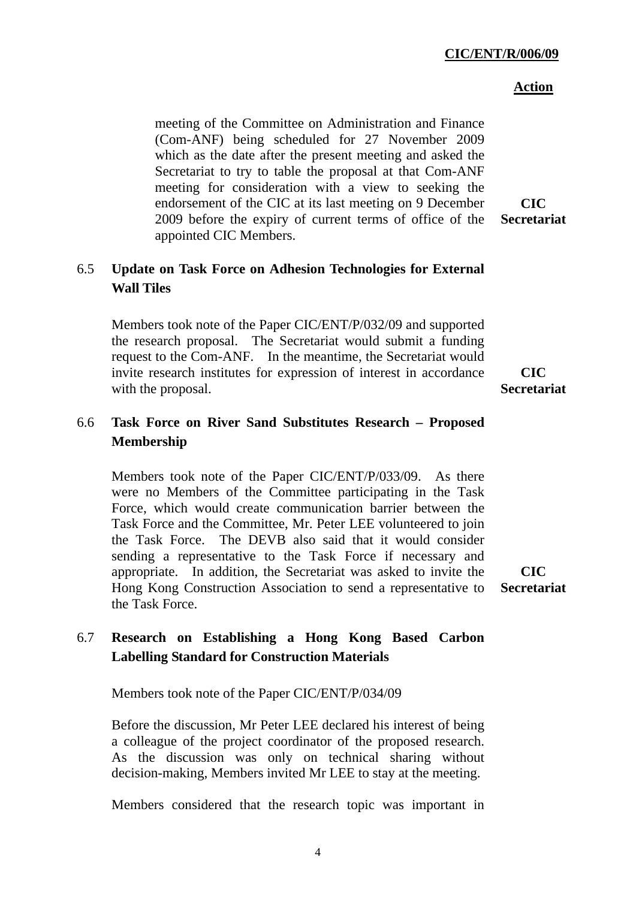# **CIC/ENT/R/006/09**

# **Action**

meeting of the Committee on Administration and Finance (Com-ANF) being scheduled for 27 November 2009 which as the date after the present meeting and asked the Secretariat to try to table the proposal at that Com-ANF meeting for consideration with a view to seeking the endorsement of the CIC at its last meeting on 9 December 2009 before the expiry of current terms of office of the appointed CIC Members.

# 6.5 **Update on Task Force on Adhesion Technologies for External Wall Tiles**

Members took note of the Paper CIC/ENT/P/032/09 and supported the research proposal. The Secretariat would submit a funding request to the Com-ANF. In the meantime, the Secretariat would invite research institutes for expression of interest in accordance with the proposal.

# 6.6 **Task Force on River Sand Substitutes Research – Proposed Membership**

Members took note of the Paper CIC/ENT/P/033/09. As there were no Members of the Committee participating in the Task Force, which would create communication barrier between the Task Force and the Committee, Mr. Peter LEE volunteered to join the Task Force. The DEVB also said that it would consider sending a representative to the Task Force if necessary and appropriate. In addition, the Secretariat was asked to invite the Hong Kong Construction Association to send a representative to the Task Force.

**CIC Secretariat** 

# 6.7 **Research on Establishing a Hong Kong Based Carbon Labelling Standard for Construction Materials**

Members took note of the Paper CIC/ENT/P/034/09

Before the discussion, Mr Peter LEE declared his interest of being a colleague of the project coordinator of the proposed research. As the discussion was only on technical sharing without decision-making, Members invited Mr LEE to stay at the meeting.

Members considered that the research topic was important in

**CIC Secretariat** 

 $CTC$ **Secretariat** 

4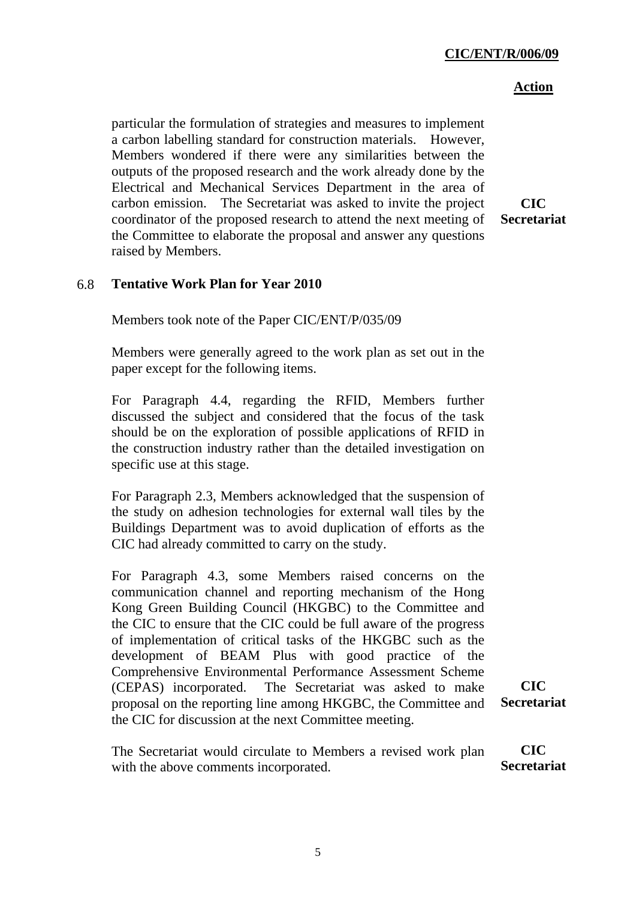### **CIC/ENT/R/006/09**

### **Action**

particular the formulation of strategies and measures to implement a carbon labelling standard for construction materials. However, Members wondered if there were any similarities between the outputs of the proposed research and the work already done by the Electrical and Mechanical Services Department in the area of carbon emission. The Secretariat was asked to invite the project coordinator of the proposed research to attend the next meeting of the Committee to elaborate the proposal and answer any questions raised by Members.

**CIC Secretariat** 

### 6.8 **Tentative Work Plan for Year 2010**

Members took note of the Paper CIC/ENT/P/035/09

Members were generally agreed to the work plan as set out in the paper except for the following items.

For Paragraph 4.4, regarding the RFID, Members further discussed the subject and considered that the focus of the task should be on the exploration of possible applications of RFID in the construction industry rather than the detailed investigation on specific use at this stage.

For Paragraph 2.3, Members acknowledged that the suspension of the study on adhesion technologies for external wall tiles by the Buildings Department was to avoid duplication of efforts as the CIC had already committed to carry on the study.

For Paragraph 4.3, some Members raised concerns on the communication channel and reporting mechanism of the Hong Kong Green Building Council (HKGBC) to the Committee and the CIC to ensure that the CIC could be full aware of the progress of implementation of critical tasks of the HKGBC such as the development of BEAM Plus with good practice of the Comprehensive Environmental Performance Assessment Scheme (CEPAS) incorporated. The Secretariat was asked to make proposal on the reporting line among HKGBC, the Committee and the CIC for discussion at the next Committee meeting.

**CIC Secretariat** 

The Secretariat would circulate to Members a revised work plan with the above comments incorporated. **CIC Secretariat**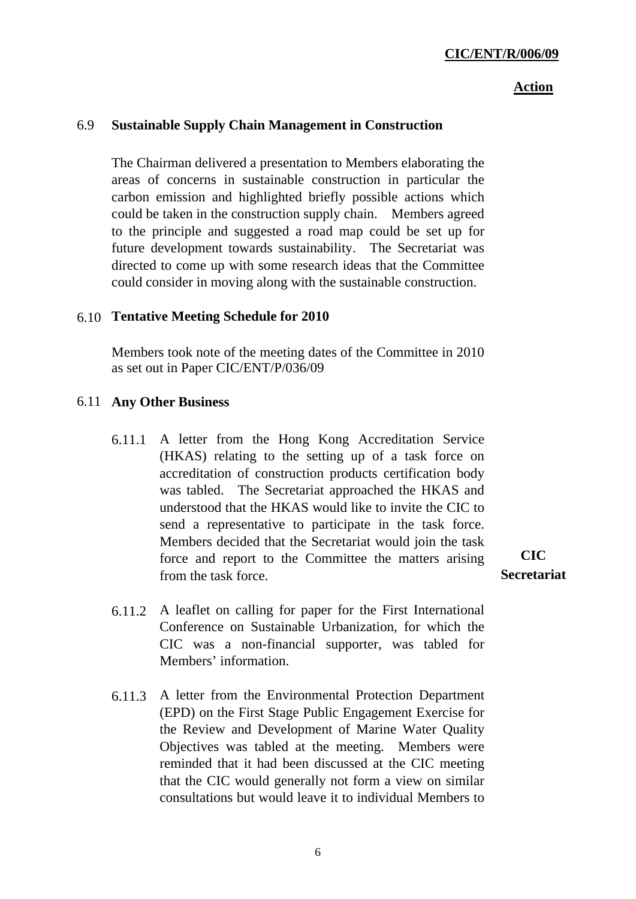#### **Action**

## 6.9 **Sustainable Supply Chain Management in Construction**

The Chairman delivered a presentation to Members elaborating the areas of concerns in sustainable construction in particular the carbon emission and highlighted briefly possible actions which could be taken in the construction supply chain. Members agreed to the principle and suggested a road map could be set up for future development towards sustainability. The Secretariat was directed to come up with some research ideas that the Committee could consider in moving along with the sustainable construction.

#### 6.10 **Tentative Meeting Schedule for 2010**

Members took note of the meeting dates of the Committee in 2010 as set out in Paper CIC/ENT/P/036/09

#### 6.11 **Any Other Business**

- 6.11.1 A letter from the Hong Kong Accreditation Service (HKAS) relating to the setting up of a task force on accreditation of construction products certification body was tabled. The Secretariat approached the HKAS and understood that the HKAS would like to invite the CIC to send a representative to participate in the task force. Members decided that the Secretariat would join the task force and report to the Committee the matters arising from the task force.
- **CIC Secretariat**
- 6.11.2 A leaflet on calling for paper for the First International Conference on Sustainable Urbanization, for which the CIC was a non-financial supporter, was tabled for Members' information.
- 6.11.3 A letter from the Environmental Protection Department (EPD) on the First Stage Public Engagement Exercise for the Review and Development of Marine Water Quality Objectives was tabled at the meeting. Members were reminded that it had been discussed at the CIC meeting that the CIC would generally not form a view on similar consultations but would leave it to individual Members to